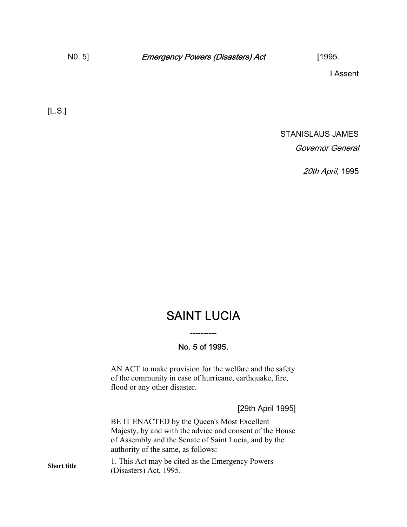I Assent

[L.S.]

STANISLAUS JAMES Governor General

20th April, 1995

## SAINT LUCIA

## No. 5 of 1995.

----------

AN ACT to make provision for the welfare and the safety of the community in case of hurricane, earthquake, fire, flood or any other disaster.

[29th April 1995]

BE IT ENACTED by the Queen's Most Excellent Majesty, by and with the advice and consent of the House of Assembly and the Senate of Saint Lucia, and by the authority of the same, as follows:

**Short title** 1. This Act may be cited as the Emergency Powers (Disasters) Act, 1995.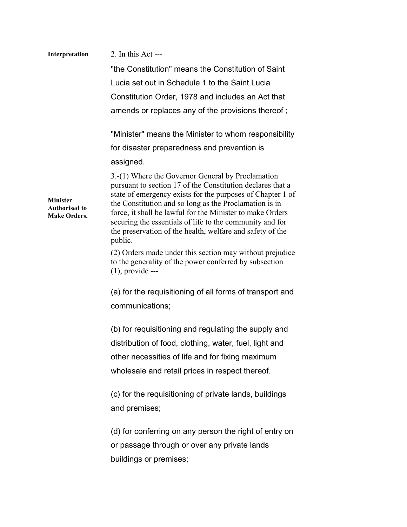| Interpretation                                                 | 2. In this Act ---                                                                                                                                                                                                                                                                                                                                                                                                                       |
|----------------------------------------------------------------|------------------------------------------------------------------------------------------------------------------------------------------------------------------------------------------------------------------------------------------------------------------------------------------------------------------------------------------------------------------------------------------------------------------------------------------|
|                                                                | "the Constitution" means the Constitution of Saint                                                                                                                                                                                                                                                                                                                                                                                       |
|                                                                | Lucia set out in Schedule 1 to the Saint Lucia                                                                                                                                                                                                                                                                                                                                                                                           |
|                                                                | Constitution Order, 1978 and includes an Act that                                                                                                                                                                                                                                                                                                                                                                                        |
|                                                                | amends or replaces any of the provisions thereof;                                                                                                                                                                                                                                                                                                                                                                                        |
|                                                                | "Minister" means the Minister to whom responsibility                                                                                                                                                                                                                                                                                                                                                                                     |
|                                                                | for disaster preparedness and prevention is                                                                                                                                                                                                                                                                                                                                                                                              |
|                                                                | assigned.                                                                                                                                                                                                                                                                                                                                                                                                                                |
| <b>Minister</b><br><b>Authorised to</b><br><b>Make Orders.</b> | 3.-(1) Where the Governor General by Proclamation<br>pursuant to section 17 of the Constitution declares that a<br>state of emergency exists for the purposes of Chapter 1 of<br>the Constitution and so long as the Proclamation is in<br>force, it shall be lawful for the Minister to make Orders<br>securing the essentials of life to the community and for<br>the preservation of the health, welfare and safety of the<br>public. |
|                                                                | (2) Orders made under this section may without prejudice<br>to the generality of the power conferred by subsection<br>$(1)$ , provide ---                                                                                                                                                                                                                                                                                                |
|                                                                | (a) for the requisitioning of all forms of transport and                                                                                                                                                                                                                                                                                                                                                                                 |
|                                                                | communications;                                                                                                                                                                                                                                                                                                                                                                                                                          |
|                                                                | (b) for requisitioning and regulating the supply and<br>distribution of food, clothing, water, fuel, light and<br>other necessities of life and for fixing maximum<br>wholesale and retail prices in respect thereof.                                                                                                                                                                                                                    |
|                                                                | (c) for the requisitioning of private lands, buildings<br>and premises;                                                                                                                                                                                                                                                                                                                                                                  |
|                                                                | (d) for conferring on any person the right of entry on<br>or passage through or over any private lands<br>buildings or premises;                                                                                                                                                                                                                                                                                                         |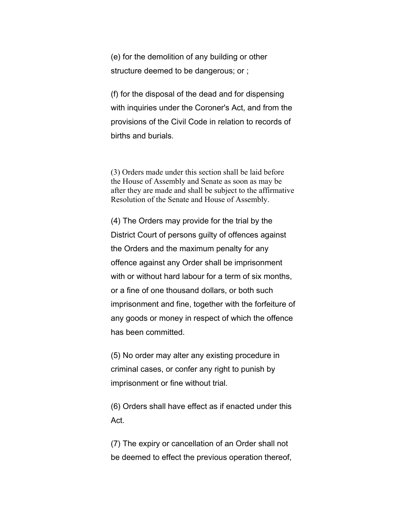(e) for the demolition of any building or other structure deemed to be dangerous; or ;

(f) for the disposal of the dead and for dispensing with inquiries under the Coroner's Act, and from the provisions of the Civil Code in relation to records of births and burials.

(3) Orders made under this section shall be laid before the House of Assembly and Senate as soon as may be after they are made and shall be subject to the affirmative Resolution of the Senate and House of Assembly.

(4) The Orders may provide for the trial by the District Court of persons guilty of offences against the Orders and the maximum penalty for any offence against any Order shall be imprisonment with or without hard labour for a term of six months, or a fine of one thousand dollars, or both such imprisonment and fine, together with the forfeiture of any goods or money in respect of which the offence has been committed.

(5) No order may alter any existing procedure in criminal cases, or confer any right to punish by imprisonment or fine without trial.

(6) Orders shall have effect as if enacted under this Act.

(7) The expiry or cancellation of an Order shall not be deemed to effect the previous operation thereof,